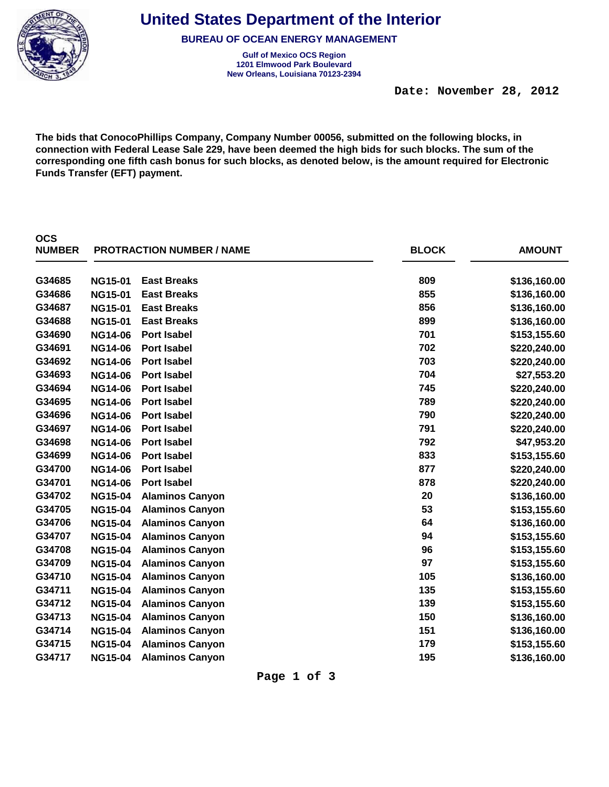

**OCS** 

**United States Department of the Interior**

**BUREAU OF OCEAN ENERGY MANAGEMENT**

**Gulf of Mexico OCS Region New Orleans, Louisiana 70123-2394 1201 Elmwood Park Boulevard**

**The bids that ConocoPhillips Company, Company Number 00056, submitted on the following blocks, in connection with Federal Lease Sale 229, have been deemed the high bids for such blocks. The sum of the corresponding one fifth cash bonus for such blocks, as denoted below, is the amount required for Electronic Funds Transfer (EFT) payment.**

| <b>NUMBER</b> |                | <b>PROTRACTION NUMBER / NAME</b> | <b>BLOCK</b> | <b>AMOUNT</b> |
|---------------|----------------|----------------------------------|--------------|---------------|
| G34685        | <b>NG15-01</b> | <b>East Breaks</b>               | 809          | \$136,160.00  |
| G34686        | <b>NG15-01</b> | <b>East Breaks</b>               | 855          | \$136,160.00  |
| G34687        | <b>NG15-01</b> | <b>East Breaks</b>               | 856          | \$136,160.00  |
| G34688        | <b>NG15-01</b> | <b>East Breaks</b>               | 899          | \$136,160.00  |
| G34690        | <b>NG14-06</b> | <b>Port Isabel</b>               | 701          | \$153,155.60  |
| G34691        | <b>NG14-06</b> | <b>Port Isabel</b>               | 702          | \$220,240.00  |
| G34692        | <b>NG14-06</b> | <b>Port Isabel</b>               | 703          | \$220,240.00  |
| G34693        | <b>NG14-06</b> | <b>Port Isabel</b>               | 704          | \$27,553.20   |
| G34694        | <b>NG14-06</b> | <b>Port Isabel</b>               | 745          | \$220,240.00  |
| G34695        | <b>NG14-06</b> | <b>Port Isabel</b>               | 789          | \$220,240.00  |
| G34696        | <b>NG14-06</b> | <b>Port Isabel</b>               | 790          | \$220,240.00  |
| G34697        | <b>NG14-06</b> | <b>Port Isabel</b>               | 791          | \$220,240.00  |
| G34698        | <b>NG14-06</b> | <b>Port Isabel</b>               | 792          | \$47,953.20   |
| G34699        | <b>NG14-06</b> | Port Isabel                      | 833          | \$153,155.60  |
| G34700        | <b>NG14-06</b> | <b>Port Isabel</b>               | 877          | \$220,240.00  |
| G34701        | <b>NG14-06</b> | <b>Port Isabel</b>               | 878          | \$220,240.00  |
| G34702        | <b>NG15-04</b> | <b>Alaminos Canyon</b>           | 20           | \$136,160.00  |
| G34705        | <b>NG15-04</b> | <b>Alaminos Canyon</b>           | 53           | \$153,155.60  |
| G34706        | <b>NG15-04</b> | <b>Alaminos Canyon</b>           | 64           | \$136,160.00  |
| G34707        | <b>NG15-04</b> | <b>Alaminos Canyon</b>           | 94           | \$153,155.60  |
| G34708        | <b>NG15-04</b> | <b>Alaminos Canyon</b>           | 96           | \$153,155.60  |
| G34709        | <b>NG15-04</b> | <b>Alaminos Canyon</b>           | 97           | \$153,155.60  |
| G34710        | <b>NG15-04</b> | <b>Alaminos Canyon</b>           | 105          | \$136,160.00  |
| G34711        | <b>NG15-04</b> | <b>Alaminos Canyon</b>           | 135          | \$153,155.60  |
| G34712        | <b>NG15-04</b> | <b>Alaminos Canyon</b>           | 139          | \$153,155.60  |
| G34713        | <b>NG15-04</b> | <b>Alaminos Canyon</b>           | 150          | \$136,160.00  |
| G34714        | <b>NG15-04</b> | <b>Alaminos Canyon</b>           | 151          | \$136,160.00  |
| G34715        | <b>NG15-04</b> | <b>Alaminos Canyon</b>           | 179          | \$153,155.60  |
| G34717        | <b>NG15-04</b> | <b>Alaminos Canyon</b>           | 195          | \$136,160.00  |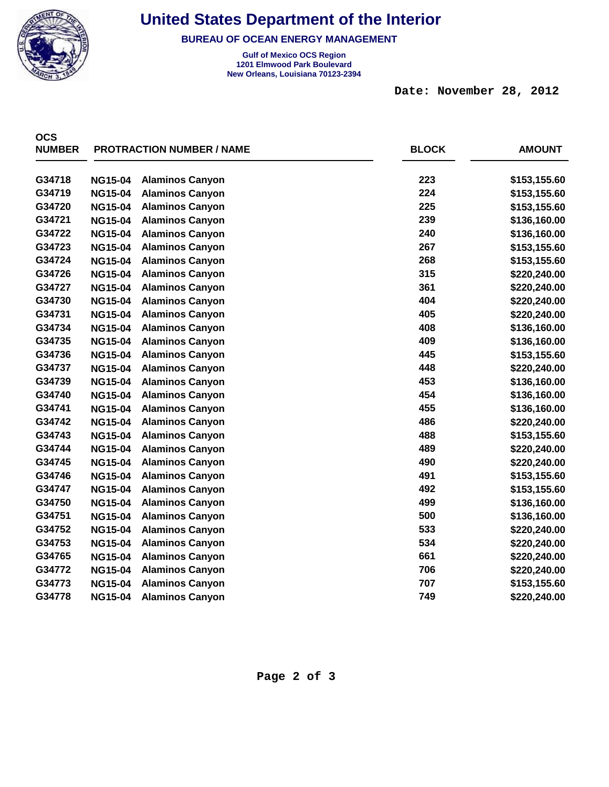

**BUREAU OF OCEAN ENERGY MANAGEMENT**

**Gulf of Mexico OCS Region New Orleans, Louisiana 70123-2394 1201 Elmwood Park Boulevard**

 **Date: November 28, 2012** 

| <b>OCS</b><br><b>NUMBER</b> | <b>PROTRACTION NUMBER / NAME</b> |                        | <b>BLOCK</b> | <b>AMOUNT</b> |
|-----------------------------|----------------------------------|------------------------|--------------|---------------|
| G34718                      | <b>NG15-04</b>                   | <b>Alaminos Canyon</b> | 223          | \$153,155.60  |
| G34719                      | <b>NG15-04</b>                   | <b>Alaminos Canyon</b> | 224          | \$153,155.60  |
| G34720                      | <b>NG15-04</b>                   | <b>Alaminos Canyon</b> | 225          | \$153,155.60  |
| G34721                      | <b>NG15-04</b>                   | <b>Alaminos Canyon</b> | 239          | \$136,160.00  |
| G34722                      | <b>NG15-04</b>                   | <b>Alaminos Canyon</b> | 240          | \$136,160.00  |
| G34723                      | <b>NG15-04</b>                   | <b>Alaminos Canyon</b> | 267          | \$153,155.60  |
| G34724                      | <b>NG15-04</b>                   | <b>Alaminos Canyon</b> | 268          | \$153,155.60  |
| G34726                      | <b>NG15-04</b>                   | <b>Alaminos Canyon</b> | 315          | \$220,240.00  |
| G34727                      | <b>NG15-04</b>                   | <b>Alaminos Canyon</b> | 361          | \$220,240.00  |
| G34730                      | <b>NG15-04</b>                   | <b>Alaminos Canyon</b> | 404          | \$220,240.00  |
| G34731                      | <b>NG15-04</b>                   | <b>Alaminos Canyon</b> | 405          | \$220,240.00  |
| G34734                      | <b>NG15-04</b>                   | <b>Alaminos Canyon</b> | 408          | \$136,160.00  |
| G34735                      | <b>NG15-04</b>                   | <b>Alaminos Canyon</b> | 409          | \$136,160.00  |
| G34736                      | <b>NG15-04</b>                   | <b>Alaminos Canyon</b> | 445          | \$153,155.60  |
| G34737                      | <b>NG15-04</b>                   | <b>Alaminos Canyon</b> | 448          | \$220,240.00  |
| G34739                      | <b>NG15-04</b>                   | <b>Alaminos Canyon</b> | 453          | \$136,160.00  |
| G34740                      | <b>NG15-04</b>                   | <b>Alaminos Canyon</b> | 454          | \$136,160.00  |
| G34741                      | <b>NG15-04</b>                   | <b>Alaminos Canyon</b> | 455          | \$136,160.00  |
| G34742                      | <b>NG15-04</b>                   | <b>Alaminos Canyon</b> | 486          | \$220,240.00  |
| G34743                      | <b>NG15-04</b>                   | <b>Alaminos Canyon</b> | 488          | \$153,155.60  |
| G34744                      | <b>NG15-04</b>                   | <b>Alaminos Canyon</b> | 489          | \$220,240.00  |
| G34745                      | <b>NG15-04</b>                   | <b>Alaminos Canyon</b> | 490          | \$220,240.00  |
| G34746                      | <b>NG15-04</b>                   | <b>Alaminos Canyon</b> | 491          | \$153,155.60  |
| G34747                      | <b>NG15-04</b>                   | <b>Alaminos Canyon</b> | 492          | \$153,155.60  |
| G34750                      | <b>NG15-04</b>                   | <b>Alaminos Canyon</b> | 499          | \$136,160.00  |
| G34751                      | <b>NG15-04</b>                   | <b>Alaminos Canyon</b> | 500          | \$136,160.00  |
| G34752                      | <b>NG15-04</b>                   | <b>Alaminos Canyon</b> | 533          | \$220,240.00  |
| G34753                      | <b>NG15-04</b>                   | <b>Alaminos Canyon</b> | 534          | \$220,240.00  |
| G34765                      | <b>NG15-04</b>                   | <b>Alaminos Canyon</b> | 661          | \$220,240.00  |
| G34772                      | <b>NG15-04</b>                   | <b>Alaminos Canyon</b> | 706          | \$220,240.00  |
| G34773                      | <b>NG15-04</b>                   | <b>Alaminos Canyon</b> | 707          | \$153,155.60  |
| G34778                      | <b>NG15-04</b>                   | <b>Alaminos Canyon</b> | 749          | \$220,240.00  |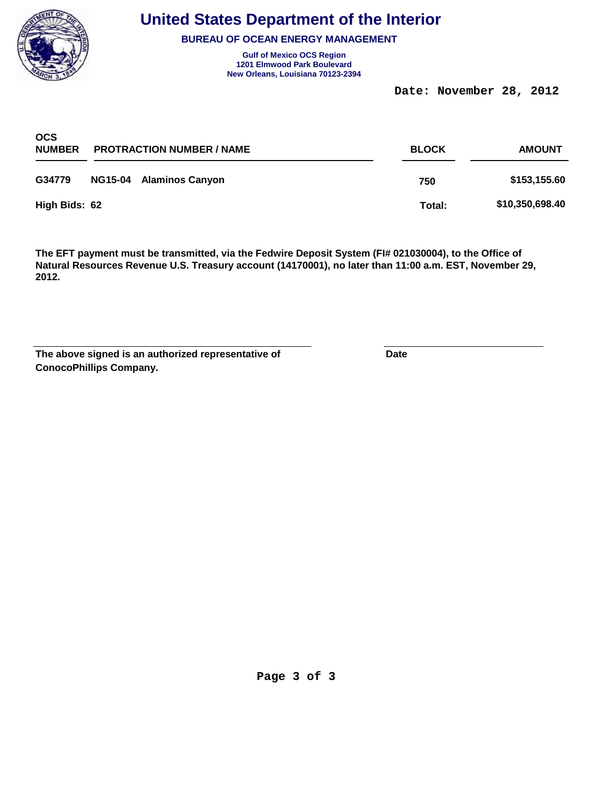

**BUREAU OF OCEAN ENERGY MANAGEMENT**

**Gulf of Mexico OCS Region New Orleans, Louisiana 70123-2394 1201 Elmwood Park Boulevard**

 **Date: November 28, 2012** 

| <b>OCS</b><br><b>NUMBER</b> | <b>PROTRACTION NUMBER / NAME</b> |                         | <b>BLOCK</b> | <b>AMOUNT</b>   |  |
|-----------------------------|----------------------------------|-------------------------|--------------|-----------------|--|
| G34779                      |                                  | NG15-04 Alaminos Canyon | 750          | \$153,155.60    |  |
| High Bids: 62               |                                  |                         | Total:       | \$10,350,698.40 |  |

| The above signed is an authorized representative of | Date |
|-----------------------------------------------------|------|
| <b>ConocoPhillips Company.</b>                      |      |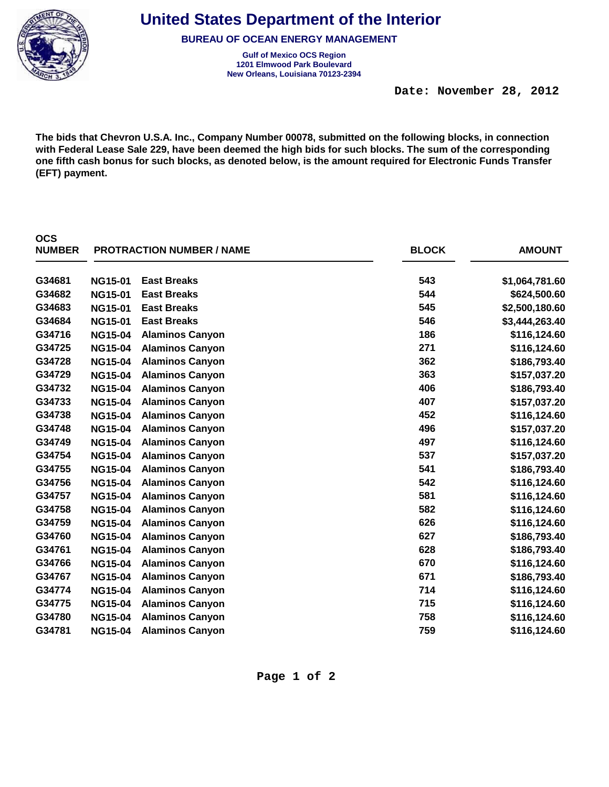

**OCS** 

**United States Department of the Interior**

**BUREAU OF OCEAN ENERGY MANAGEMENT**

**Gulf of Mexico OCS Region New Orleans, Louisiana 70123-2394 1201 Elmwood Park Boulevard**

 **Date: November 28, 2012** 

**The bids that Chevron U.S.A. Inc., Company Number 00078, submitted on the following blocks, in connection with Federal Lease Sale 229, have been deemed the high bids for such blocks. The sum of the corresponding one fifth cash bonus for such blocks, as denoted below, is the amount required for Electronic Funds Transfer (EFT) payment.**

| <b>NUMBER</b> |                | <b>PROTRACTION NUMBER / NAME</b> | <b>BLOCK</b> | <b>AMOUNT</b>  |
|---------------|----------------|----------------------------------|--------------|----------------|
| G34681        | <b>NG15-01</b> | <b>East Breaks</b>               | 543          | \$1,064,781.60 |
| G34682        | <b>NG15-01</b> | <b>East Breaks</b>               | 544          | \$624,500.60   |
| G34683        | <b>NG15-01</b> | <b>East Breaks</b>               | 545          | \$2,500,180.60 |
| G34684        | <b>NG15-01</b> | <b>East Breaks</b>               | 546          | \$3,444,263.40 |
| G34716        | <b>NG15-04</b> | <b>Alaminos Canyon</b>           | 186          | \$116,124.60   |
| G34725        | <b>NG15-04</b> | <b>Alaminos Canyon</b>           | 271          | \$116,124.60   |
| G34728        | <b>NG15-04</b> | <b>Alaminos Canyon</b>           | 362          | \$186,793.40   |
| G34729        | <b>NG15-04</b> | <b>Alaminos Canyon</b>           | 363          | \$157,037.20   |
| G34732        | <b>NG15-04</b> | <b>Alaminos Canyon</b>           | 406          | \$186,793.40   |
| G34733        | <b>NG15-04</b> | <b>Alaminos Canyon</b>           | 407          | \$157,037.20   |
| G34738        | <b>NG15-04</b> | <b>Alaminos Canyon</b>           | 452          | \$116,124.60   |
| G34748        | <b>NG15-04</b> | <b>Alaminos Canyon</b>           | 496          | \$157,037.20   |
| G34749        | <b>NG15-04</b> | <b>Alaminos Canyon</b>           | 497          | \$116,124.60   |
| G34754        | <b>NG15-04</b> | <b>Alaminos Canyon</b>           | 537          | \$157,037.20   |
| G34755        | <b>NG15-04</b> | <b>Alaminos Canyon</b>           | 541          | \$186,793.40   |
| G34756        | <b>NG15-04</b> | <b>Alaminos Canyon</b>           | 542          | \$116,124.60   |
| G34757        | <b>NG15-04</b> | <b>Alaminos Canyon</b>           | 581          | \$116,124.60   |
| G34758        | <b>NG15-04</b> | <b>Alaminos Canyon</b>           | 582          | \$116,124.60   |
| G34759        | <b>NG15-04</b> | <b>Alaminos Canyon</b>           | 626          | \$116,124.60   |
| G34760        | <b>NG15-04</b> | <b>Alaminos Canyon</b>           | 627          | \$186,793.40   |
| G34761        | <b>NG15-04</b> | <b>Alaminos Canyon</b>           | 628          | \$186,793.40   |
| G34766        | <b>NG15-04</b> | <b>Alaminos Canyon</b>           | 670          | \$116,124.60   |
| G34767        | <b>NG15-04</b> | <b>Alaminos Canyon</b>           | 671          | \$186,793.40   |
| G34774        | <b>NG15-04</b> | <b>Alaminos Canyon</b>           | 714          | \$116,124.60   |
| G34775        | <b>NG15-04</b> | <b>Alaminos Canyon</b>           | 715          | \$116,124.60   |
| G34780        | <b>NG15-04</b> | <b>Alaminos Canyon</b>           | 758          | \$116,124.60   |
| G34781        | <b>NG15-04</b> | <b>Alaminos Canyon</b>           | 759          | \$116,124.60   |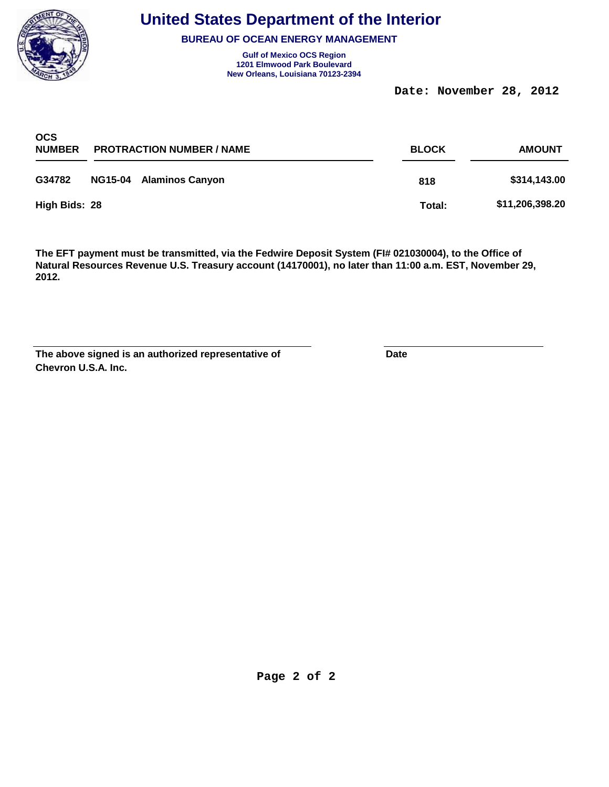

**BUREAU OF OCEAN ENERGY MANAGEMENT**

**Gulf of Mexico OCS Region New Orleans, Louisiana 70123-2394 1201 Elmwood Park Boulevard**

 **Date: November 28, 2012** 

| <b>OCS</b><br><b>NUMBER</b> | <b>PROTRACTION NUMBER / NAME</b> |                         | <b>BLOCK</b> | <b>AMOUNT</b>   |  |
|-----------------------------|----------------------------------|-------------------------|--------------|-----------------|--|
| G34782                      |                                  | NG15-04 Alaminos Canyon | 818          | \$314,143.00    |  |
| High Bids: 28               |                                  |                         | Total:       | \$11,206,398.20 |  |

| The above signed is an authorized representative of | Date |
|-----------------------------------------------------|------|
| Chevron U.S.A. Inc.                                 |      |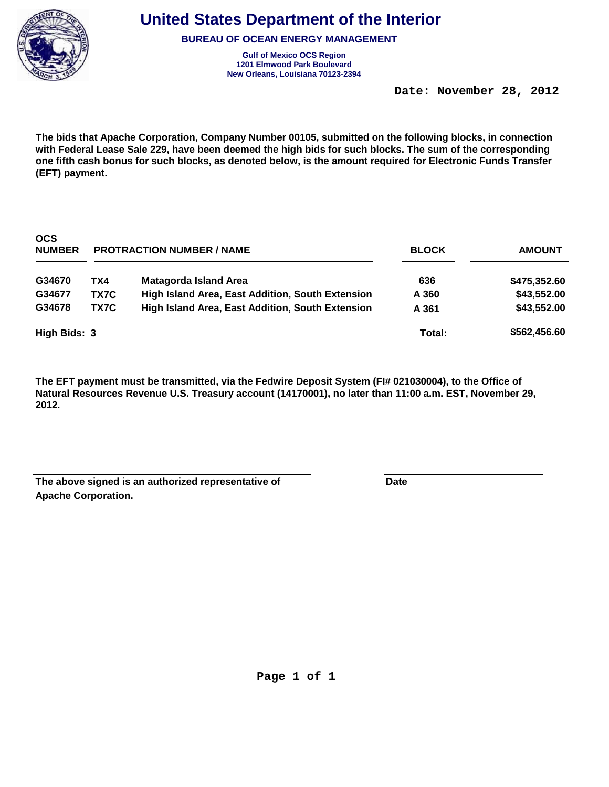

**BUREAU OF OCEAN ENERGY MANAGEMENT**

**Gulf of Mexico OCS Region New Orleans, Louisiana 70123-2394 1201 Elmwood Park Boulevard**

 **Date: November 28, 2012** 

**The bids that Apache Corporation, Company Number 00105, submitted on the following blocks, in connection with Federal Lease Sale 229, have been deemed the high bids for such blocks. The sum of the corresponding one fifth cash bonus for such blocks, as denoted below, is the amount required for Electronic Funds Transfer (EFT) payment.**

| <b>OCS</b><br><b>NUMBER</b> | <b>PROTRACTION NUMBER / NAME</b> |                                                         | <b>BLOCK</b> | <b>AMOUNT</b> |  |
|-----------------------------|----------------------------------|---------------------------------------------------------|--------------|---------------|--|
| G34670                      | TX4                              | <b>Matagorda Island Area</b>                            | 636          | \$475,352.60  |  |
| G34677                      | TX7C                             | High Island Area, East Addition, South Extension        | A 360        | \$43,552.00   |  |
| G34678                      | TX7C                             | <b>High Island Area, East Addition, South Extension</b> | A 361        | \$43,552.00   |  |
| High Bids: 3                |                                  |                                                         | Total:       | \$562,456.60  |  |

| The above signed is an authorized representative of | Date |
|-----------------------------------------------------|------|
| <b>Apache Corporation.</b>                          |      |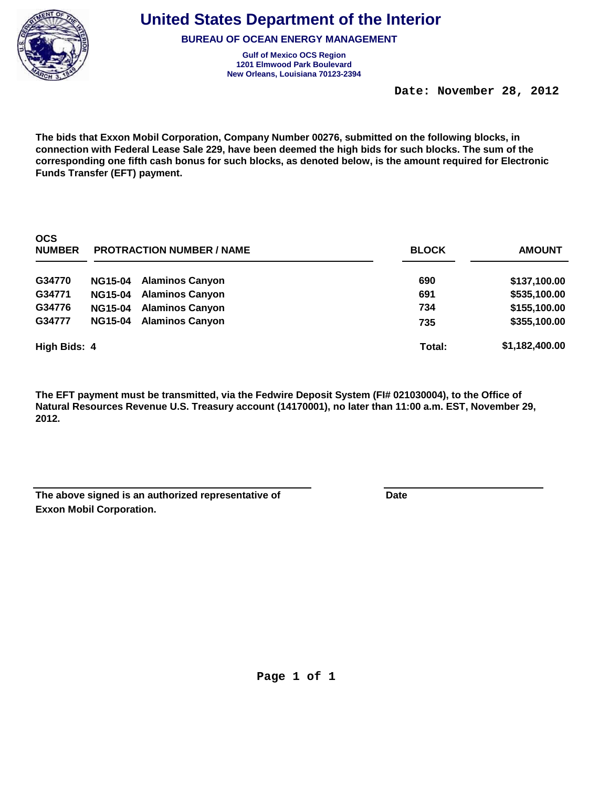

**BUREAU OF OCEAN ENERGY MANAGEMENT**

**Gulf of Mexico OCS Region New Orleans, Louisiana 70123-2394 1201 Elmwood Park Boulevard**

 **Date: November 28, 2012** 

**The bids that Exxon Mobil Corporation, Company Number 00276, submitted on the following blocks, in connection with Federal Lease Sale 229, have been deemed the high bids for such blocks. The sum of the corresponding one fifth cash bonus for such blocks, as denoted below, is the amount required for Electronic Funds Transfer (EFT) payment.**

| <b>OCS</b><br><b>NUMBER</b> | <b>PROTRACTION NUMBER / NAME</b> |                        | <b>BLOCK</b> | <b>AMOUNT</b>  |
|-----------------------------|----------------------------------|------------------------|--------------|----------------|
| G34770                      | <b>NG15-04</b>                   | <b>Alaminos Canyon</b> | 690          | \$137,100.00   |
| G34771                      | <b>NG15-04</b>                   | <b>Alaminos Canyon</b> | 691          | \$535,100.00   |
| G34776                      | <b>NG15-04</b>                   | <b>Alaminos Canyon</b> | 734          | \$155,100.00   |
| G34777                      | <b>NG15-04</b>                   | <b>Alaminos Canyon</b> | 735          | \$355,100.00   |
| High Bids: 4                |                                  |                        | Total:       | \$1,182,400.00 |

| The above signed is an authorized representative of | Date |
|-----------------------------------------------------|------|
| <b>Exxon Mobil Corporation.</b>                     |      |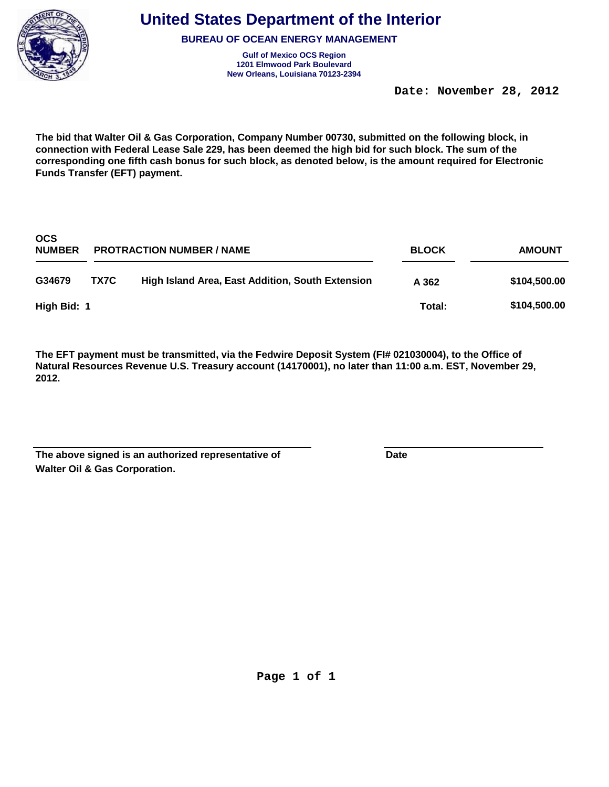

**BUREAU OF OCEAN ENERGY MANAGEMENT**

**Gulf of Mexico OCS Region New Orleans, Louisiana 70123-2394 1201 Elmwood Park Boulevard**

 **Date: November 28, 2012** 

**The bid that Walter Oil & Gas Corporation, Company Number 00730, submitted on the following block, in connection with Federal Lease Sale 229, has been deemed the high bid for such block. The sum of the corresponding one fifth cash bonus for such block, as denoted below, is the amount required for Electronic Funds Transfer (EFT) payment.**

| <b>OCS</b><br><b>NUMBER</b> | <b>PROTRACTION NUMBER / NAME</b> |                                                         | <b>BLOCK</b> | <b>AMOUNT</b> |  |
|-----------------------------|----------------------------------|---------------------------------------------------------|--------------|---------------|--|
| G34679                      | TX7C                             | <b>High Island Area, East Addition, South Extension</b> | A 362        | \$104,500.00  |  |
| High Bid: 1                 |                                  |                                                         | Total:       | \$104,500.00  |  |

| The above signed is an authorized representative of | Date |
|-----------------------------------------------------|------|
| <b>Walter Oil &amp; Gas Corporation.</b>            |      |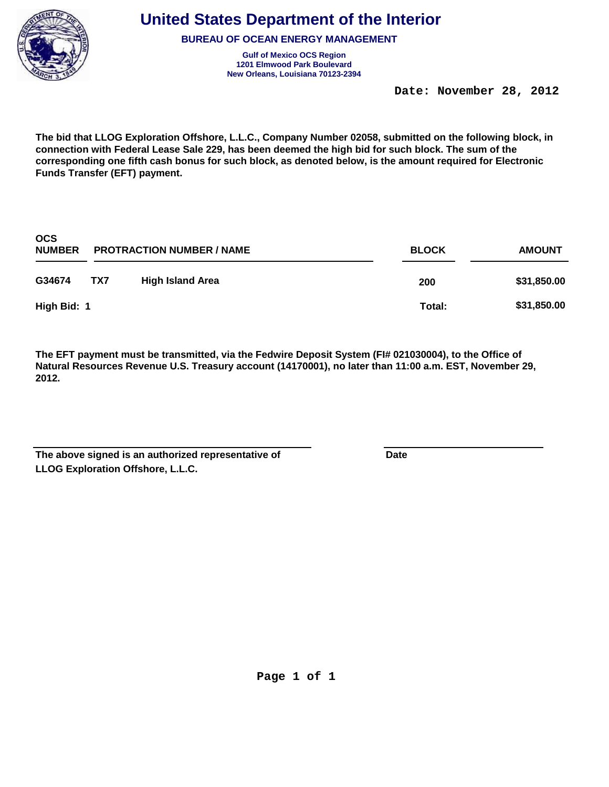

**BUREAU OF OCEAN ENERGY MANAGEMENT**

**Gulf of Mexico OCS Region New Orleans, Louisiana 70123-2394 1201 Elmwood Park Boulevard**

 **Date: November 28, 2012** 

**The bid that LLOG Exploration Offshore, L.L.C., Company Number 02058, submitted on the following block, in connection with Federal Lease Sale 229, has been deemed the high bid for such block. The sum of the corresponding one fifth cash bonus for such block, as denoted below, is the amount required for Electronic Funds Transfer (EFT) payment.**

| <b>OCS</b><br><b>NUMBER</b> | <b>PROTRACTION NUMBER / NAME</b> |                         | <b>BLOCK</b> | <b>AMOUNT</b> |
|-----------------------------|----------------------------------|-------------------------|--------------|---------------|
| G34674                      | TX7                              | <b>High Island Area</b> | 200          | \$31,850.00   |
| High Bid: 1                 |                                  |                         | Total:       | \$31,850.00   |

| The above signed is an authorized representative of | Date |
|-----------------------------------------------------|------|
| <b>LLOG Exploration Offshore, L.L.C.</b>            |      |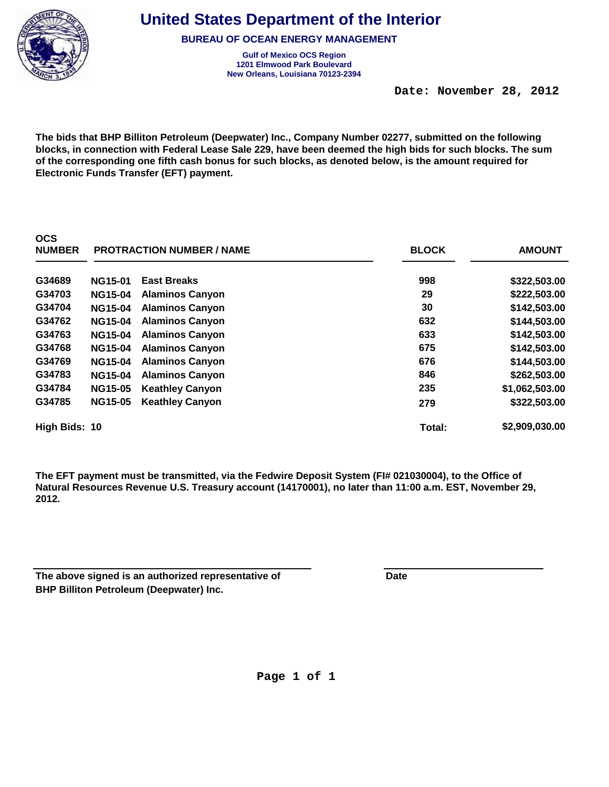

**OCS** 

**United States Department of the Interior**

**BUREAU OF OCEAN ENERGY MANAGEMENT**

**Gulf of Mexico OCS Region New Orleans, Louisiana 70123-2394 1201 Elmwood Park Boulevard**

 **Date: November 28, 2012** 

**The bids that BHP Billiton Petroleum (Deepwater) Inc., Company Number 02277, submitted on the following blocks, in connection with Federal Lease Sale 229, have been deemed the high bids for such blocks. The sum of the corresponding one fifth cash bonus for such blocks, as denoted below, is the amount required for Electronic Funds Transfer (EFT) payment.**

| <b>NUMBER</b> |                | <b>PROTRACTION NUMBER / NAME</b> | <b>BLOCK</b> | <b>AMOUNT</b>  |
|---------------|----------------|----------------------------------|--------------|----------------|
| G34689        | <b>NG15-01</b> | <b>East Breaks</b>               | 998          | \$322,503.00   |
| G34703        | <b>NG15-04</b> | <b>Alaminos Canyon</b>           | 29           | \$222,503.00   |
| G34704        | <b>NG15-04</b> | <b>Alaminos Canyon</b>           | 30           | \$142,503.00   |
| G34762        | <b>NG15-04</b> | <b>Alaminos Canyon</b>           | 632          | \$144,503.00   |
| G34763        | <b>NG15-04</b> | <b>Alaminos Canyon</b>           | 633          | \$142,503.00   |
| G34768        | <b>NG15-04</b> | <b>Alaminos Canyon</b>           | 675          | \$142,503.00   |
| G34769        | <b>NG15-04</b> | <b>Alaminos Canyon</b>           | 676          | \$144,503.00   |
| G34783        | <b>NG15-04</b> | <b>Alaminos Canyon</b>           | 846          | \$262,503.00   |
| G34784        | <b>NG15-05</b> | <b>Keathley Canyon</b>           | 235          | \$1,062,503.00 |
| G34785        | <b>NG15-05</b> | <b>Keathley Canyon</b>           | 279          | \$322,503.00   |
| High Bids: 10 |                |                                  | Total:       | \$2,909,030.00 |

**The EFT payment must be transmitted, via the Fedwire Deposit System (FI# 021030004), to the Office of Natural Resources Revenue U.S. Treasury account (14170001), no later than 11:00 a.m. EST, November 29, 2012.**

| The above signed is an authorized representative of | Date |
|-----------------------------------------------------|------|
| <b>BHP Billiton Petroleum (Deepwater) Inc.</b>      |      |

**Page 1 of 1**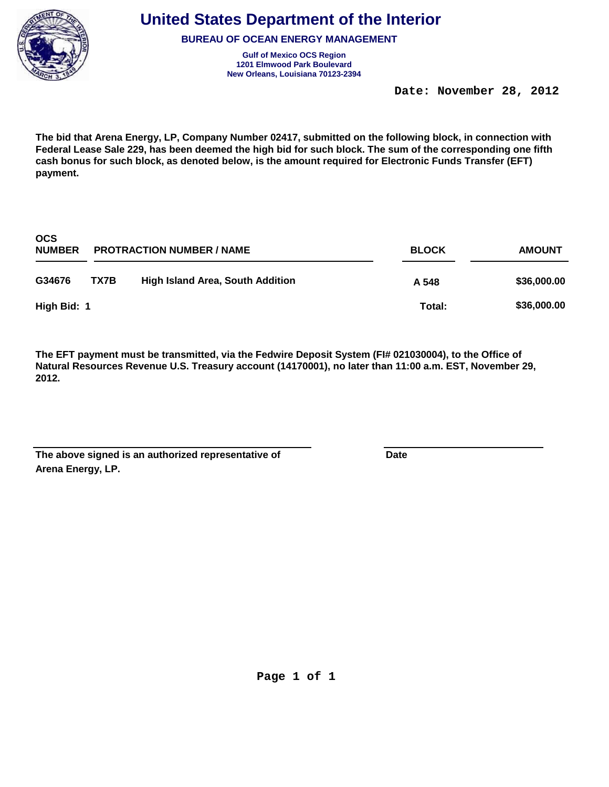

**BUREAU OF OCEAN ENERGY MANAGEMENT**

**Gulf of Mexico OCS Region New Orleans, Louisiana 70123-2394 1201 Elmwood Park Boulevard**

 **Date: November 28, 2012** 

**The bid that Arena Energy, LP, Company Number 02417, submitted on the following block, in connection with Federal Lease Sale 229, has been deemed the high bid for such block. The sum of the corresponding one fifth cash bonus for such block, as denoted below, is the amount required for Electronic Funds Transfer (EFT) payment.**

| <b>OCS</b><br><b>NUMBER</b> | <b>PROTRACTION NUMBER / NAME</b> |                                         | <b>BLOCK</b> | <b>AMOUNT</b> |
|-----------------------------|----------------------------------|-----------------------------------------|--------------|---------------|
| G34676                      | TX7B                             | <b>High Island Area, South Addition</b> | A 548        | \$36,000.00   |
| High Bid: 1                 |                                  |                                         | Total:       | \$36,000.00   |

| The above signed is an authorized representative of | Date |
|-----------------------------------------------------|------|
| Arena Energy, LP.                                   |      |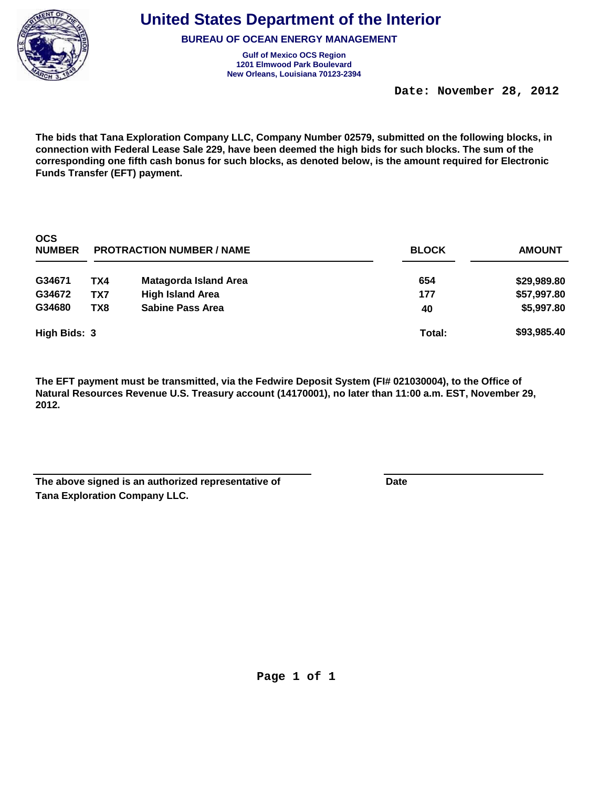

**BUREAU OF OCEAN ENERGY MANAGEMENT**

**Gulf of Mexico OCS Region New Orleans, Louisiana 70123-2394 1201 Elmwood Park Boulevard**

 **Date: November 28, 2012** 

**The bids that Tana Exploration Company LLC, Company Number 02579, submitted on the following blocks, in connection with Federal Lease Sale 229, have been deemed the high bids for such blocks. The sum of the corresponding one fifth cash bonus for such blocks, as denoted below, is the amount required for Electronic Funds Transfer (EFT) payment.**

| <b>OCS</b><br><b>NUMBER</b> | <b>PROTRACTION NUMBER / NAME</b> |                              | <b>BLOCK</b> | <b>AMOUNT</b> |
|-----------------------------|----------------------------------|------------------------------|--------------|---------------|
| G34671                      | TX4                              | <b>Matagorda Island Area</b> | 654          | \$29,989.80   |
| G34672                      | TX7                              | <b>High Island Area</b>      | 177          | \$57,997.80   |
| G34680                      | TX8                              | <b>Sabine Pass Area</b>      | 40           | \$5,997.80    |
| High Bids: 3                |                                  |                              | Total:       | \$93,985.40   |

| The above signed is an authorized representative of | Date |
|-----------------------------------------------------|------|
| <b>Tana Exploration Company LLC.</b>                |      |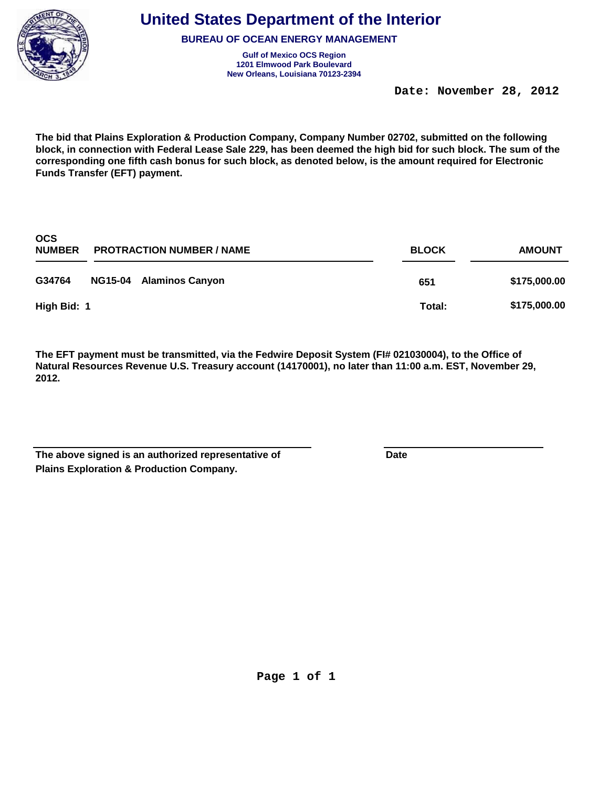

**BUREAU OF OCEAN ENERGY MANAGEMENT**

**Gulf of Mexico OCS Region New Orleans, Louisiana 70123-2394 1201 Elmwood Park Boulevard**

 **Date: November 28, 2012** 

**The bid that Plains Exploration & Production Company, Company Number 02702, submitted on the following block, in connection with Federal Lease Sale 229, has been deemed the high bid for such block. The sum of the corresponding one fifth cash bonus for such block, as denoted below, is the amount required for Electronic Funds Transfer (EFT) payment.**

| <b>OCS</b><br><b>NUMBER</b><br><b>PROTRACTION NUMBER / NAME</b> |  | <b>BLOCK</b>            | <b>AMOUNT</b> |              |
|-----------------------------------------------------------------|--|-------------------------|---------------|--------------|
| G34764                                                          |  | NG15-04 Alaminos Canyon | 651           | \$175,000.00 |
| High Bid: 1                                                     |  |                         | Total:        | \$175,000.00 |

| The above signed is an authorized representative of | Date |
|-----------------------------------------------------|------|
| <b>Plains Exploration &amp; Production Company.</b> |      |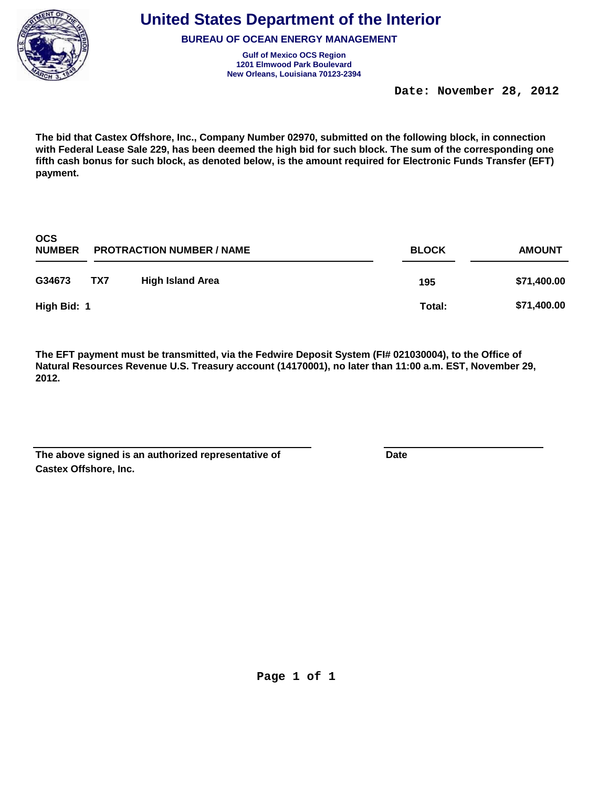

**BUREAU OF OCEAN ENERGY MANAGEMENT**

**Gulf of Mexico OCS Region New Orleans, Louisiana 70123-2394 1201 Elmwood Park Boulevard**

 **Date: November 28, 2012** 

**The bid that Castex Offshore, Inc., Company Number 02970, submitted on the following block, in connection with Federal Lease Sale 229, has been deemed the high bid for such block. The sum of the corresponding one fifth cash bonus for such block, as denoted below, is the amount required for Electronic Funds Transfer (EFT) payment.**

| <b>OCS</b><br><b>NUMBER</b> | <b>PROTRACTION NUMBER / NAME</b> |                         | <b>BLOCK</b> | <b>AMOUNT</b> |
|-----------------------------|----------------------------------|-------------------------|--------------|---------------|
| G34673                      | TX7                              | <b>High Island Area</b> | 195          | \$71,400.00   |
| High Bid: 1                 |                                  |                         | Total:       | \$71,400.00   |

| The above signed is an authorized representative of | Date |
|-----------------------------------------------------|------|
| <b>Castex Offshore, Inc.</b>                        |      |